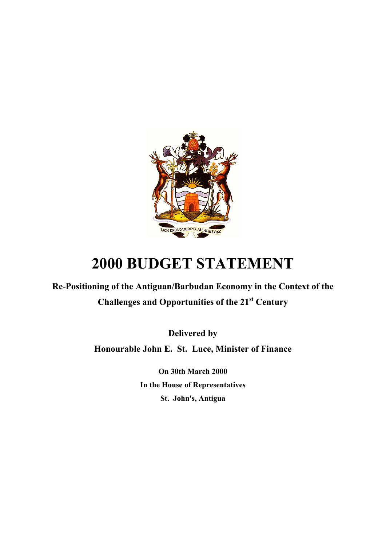

# **2000 BUDGET STATEMENT**

**Re-Positioning of the Antiguan/Barbudan Economy in the Context of the Challenges and Opportunities of the 21st Century** 

**Delivered by**

**Honourable John E. St. Luce, Minister of Finance** 

**On 30th March 2000 In the House of Representatives St. John's, Antigua**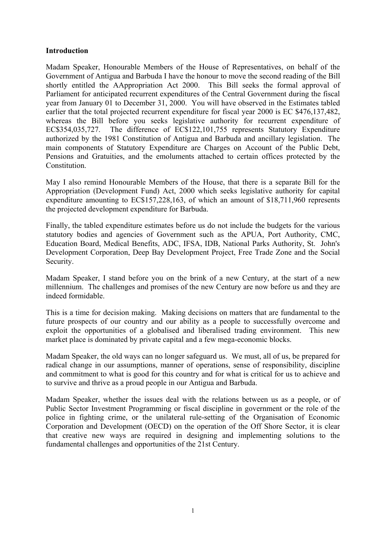#### **Introduction**

Madam Speaker, Honourable Members of the House of Representatives, on behalf of the Government of Antigua and Barbuda I have the honour to move the second reading of the Bill shortly entitled the AAppropriation Act 2000. This Bill seeks the formal approval of Parliament for anticipated recurrent expenditures of the Central Government during the fiscal year from January 01 to December 31, 2000. You will have observed in the Estimates tabled earlier that the total projected recurrent expenditure for fiscal year 2000 is EC \$476,137,482, whereas the Bill before you seeks legislative authority for recurrent expenditure of EC\$354,035,727. The difference of EC\$122,101,755 represents Statutory Expenditure authorized by the 1981 Constitution of Antigua and Barbuda and ancillary legislation. The main components of Statutory Expenditure are Charges on Account of the Public Debt, Pensions and Gratuities, and the emoluments attached to certain offices protected by the Constitution.

May I also remind Honourable Members of the House, that there is a separate Bill for the Appropriation (Development Fund) Act, 2000 which seeks legislative authority for capital expenditure amounting to EC\$157,228,163, of which an amount of \$18,711,960 represents the projected development expenditure for Barbuda.

Finally, the tabled expenditure estimates before us do not include the budgets for the various statutory bodies and agencies of Government such as the APUA, Port Authority, CMC, Education Board, Medical Benefits, ADC, IFSA, IDB, National Parks Authority, St. John's Development Corporation, Deep Bay Development Project, Free Trade Zone and the Social Security.

Madam Speaker, I stand before you on the brink of a new Century, at the start of a new millennium. The challenges and promises of the new Century are now before us and they are indeed formidable.

This is a time for decision making. Making decisions on matters that are fundamental to the future prospects of our country and our ability as a people to successfully overcome and exploit the opportunities of a globalised and liberalised trading environment. This new market place is dominated by private capital and a few mega-economic blocks.

Madam Speaker, the old ways can no longer safeguard us. We must, all of us, be prepared for radical change in our assumptions, manner of operations, sense of responsibility, discipline and commitment to what is good for this country and for what is critical for us to achieve and to survive and thrive as a proud people in our Antigua and Barbuda.

Madam Speaker, whether the issues deal with the relations between us as a people, or of Public Sector Investment Programming or fiscal discipline in government or the role of the police in fighting crime, or the unilateral rule-setting of the Organisation of Economic Corporation and Development (OECD) on the operation of the Off Shore Sector, it is clear that creative new ways are required in designing and implementing solutions to the fundamental challenges and opportunities of the 21st Century.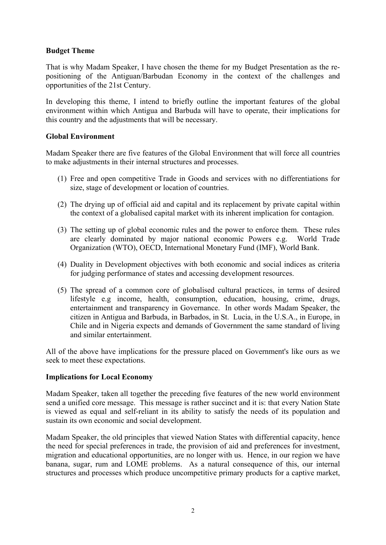#### **Budget Theme**

That is why Madam Speaker, I have chosen the theme for my Budget Presentation as the repositioning of the Antiguan/Barbudan Economy in the context of the challenges and opportunities of the 21st Century.

In developing this theme, I intend to briefly outline the important features of the global environment within which Antigua and Barbuda will have to operate, their implications for this country and the adjustments that will be necessary.

#### **Global Environment**

Madam Speaker there are five features of the Global Environment that will force all countries to make adjustments in their internal structures and processes.

- (1) Free and open competitive Trade in Goods and services with no differentiations for size, stage of development or location of countries.
- (2) The drying up of official aid and capital and its replacement by private capital within the context of a globalised capital market with its inherent implication for contagion.
- (3) The setting up of global economic rules and the power to enforce them. These rules are clearly dominated by major national economic Powers e.g. World Trade Organization (WTO), OECD, International Monetary Fund (IMF), World Bank.
- (4) Duality in Development objectives with both economic and social indices as criteria for judging performance of states and accessing development resources.
- (5) The spread of a common core of globalised cultural practices, in terms of desired lifestyle e.g income, health, consumption, education, housing, crime, drugs, entertainment and transparency in Governance. In other words Madam Speaker, the citizen in Antigua and Barbuda, in Barbados, in St. Lucia, in the U.S.A., in Europe, in Chile and in Nigeria expects and demands of Government the same standard of living and similar entertainment.

All of the above have implications for the pressure placed on Government's like ours as we seek to meet these expectations.

#### **Implications for Local Economy**

Madam Speaker, taken all together the preceding five features of the new world environment send a unified core message. This message is rather succinct and it is: that every Nation State is viewed as equal and self-reliant in its ability to satisfy the needs of its population and sustain its own economic and social development.

Madam Speaker, the old principles that viewed Nation States with differential capacity, hence the need for special preferences in trade, the provision of aid and preferences for investment, migration and educational opportunities, are no longer with us. Hence, in our region we have banana, sugar, rum and LOME problems. As a natural consequence of this, our internal structures and processes which produce uncompetitive primary products for a captive market,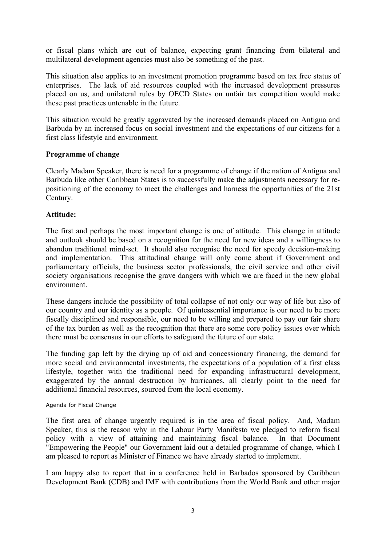or fiscal plans which are out of balance, expecting grant financing from bilateral and multilateral development agencies must also be something of the past.

This situation also applies to an investment promotion programme based on tax free status of enterprises. The lack of aid resources coupled with the increased development pressures placed on us, and unilateral rules by OECD States on unfair tax competition would make these past practices untenable in the future.

This situation would be greatly aggravated by the increased demands placed on Antigua and Barbuda by an increased focus on social investment and the expectations of our citizens for a first class lifestyle and environment.

#### **Programme of change**

Clearly Madam Speaker, there is need for a programme of change if the nation of Antigua and Barbuda like other Caribbean States is to successfully make the adjustments necessary for repositioning of the economy to meet the challenges and harness the opportunities of the 21st Century.

#### **Attitude:**

The first and perhaps the most important change is one of attitude. This change in attitude and outlook should be based on a recognition for the need for new ideas and a willingness to abandon traditional mind-set. It should also recognise the need for speedy decision-making and implementation. This attitudinal change will only come about if Government and parliamentary officials, the business sector professionals, the civil service and other civil society organisations recognise the grave dangers with which we are faced in the new global environment.

These dangers include the possibility of total collapse of not only our way of life but also of our country and our identity as a people. Of quintessential importance is our need to be more fiscally disciplined and responsible, our need to be willing and prepared to pay our fair share of the tax burden as well as the recognition that there are some core policy issues over which there must be consensus in our efforts to safeguard the future of our state.

The funding gap left by the drying up of aid and concessionary financing, the demand for more social and environmental investments, the expectations of a population of a first class lifestyle, together with the traditional need for expanding infrastructural development, exaggerated by the annual destruction by hurricanes, all clearly point to the need for additional financial resources, sourced from the local economy.

#### Agenda for Fiscal Change

The first area of change urgently required is in the area of fiscal policy. And, Madam Speaker, this is the reason why in the Labour Party Manifesto we pledged to reform fiscal policy with a view of attaining and maintaining fiscal balance. In that Document "Empowering the People" our Government laid out a detailed programme of change, which I am pleased to report as Minister of Finance we have already started to implement.

I am happy also to report that in a conference held in Barbados sponsored by Caribbean Development Bank (CDB) and IMF with contributions from the World Bank and other major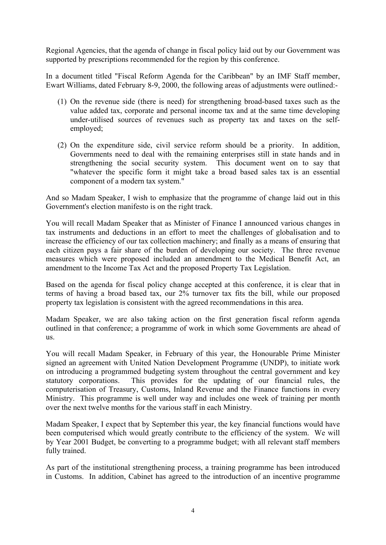Regional Agencies, that the agenda of change in fiscal policy laid out by our Government was supported by prescriptions recommended for the region by this conference.

In a document titled "Fiscal Reform Agenda for the Caribbean" by an IMF Staff member, Ewart Williams, dated February 8-9, 2000, the following areas of adjustments were outlined:-

- (1) On the revenue side (there is need) for strengthening broad-based taxes such as the value added tax, corporate and personal income tax and at the same time developing under-utilised sources of revenues such as property tax and taxes on the selfemployed;
- (2) On the expenditure side, civil service reform should be a priority. In addition, Governments need to deal with the remaining enterprises still in state hands and in strengthening the social security system. This document went on to say that "whatever the specific form it might take a broad based sales tax is an essential component of a modern tax system."

And so Madam Speaker, I wish to emphasize that the programme of change laid out in this Government's election manifesto is on the right track.

You will recall Madam Speaker that as Minister of Finance I announced various changes in tax instruments and deductions in an effort to meet the challenges of globalisation and to increase the efficiency of our tax collection machinery; and finally as a means of ensuring that each citizen pays a fair share of the burden of developing our society. The three revenue measures which were proposed included an amendment to the Medical Benefit Act, an amendment to the Income Tax Act and the proposed Property Tax Legislation.

Based on the agenda for fiscal policy change accepted at this conference, it is clear that in terms of having a broad based tax, our 2% turnover tax fits the bill, while our proposed property tax legislation is consistent with the agreed recommendations in this area.

Madam Speaker, we are also taking action on the first generation fiscal reform agenda outlined in that conference; a programme of work in which some Governments are ahead of us.

You will recall Madam Speaker, in February of this year, the Honourable Prime Minister signed an agreement with United Nation Development Programme (UNDP), to initiate work on introducing a programmed budgeting system throughout the central government and key statutory corporations. This provides for the updating of our financial rules, the computerisation of Treasury, Customs, Inland Revenue and the Finance functions in every Ministry. This programme is well under way and includes one week of training per month over the next twelve months for the various staff in each Ministry.

Madam Speaker, I expect that by September this year, the key financial functions would have been computerised which would greatly contribute to the efficiency of the system. We will by Year 2001 Budget, be converting to a programme budget; with all relevant staff members fully trained.

As part of the institutional strengthening process, a training programme has been introduced in Customs. In addition, Cabinet has agreed to the introduction of an incentive programme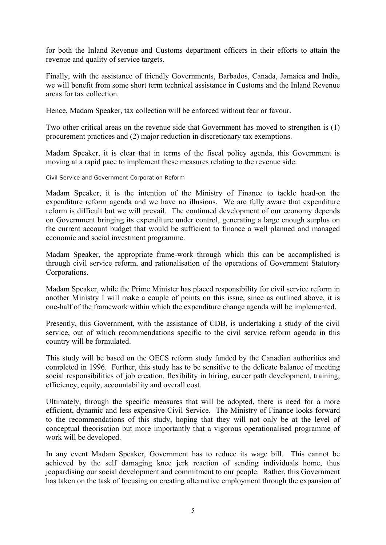for both the Inland Revenue and Customs department officers in their efforts to attain the revenue and quality of service targets.

Finally, with the assistance of friendly Governments, Barbados, Canada, Jamaica and India, we will benefit from some short term technical assistance in Customs and the Inland Revenue areas for tax collection.

Hence, Madam Speaker, tax collection will be enforced without fear or favour.

Two other critical areas on the revenue side that Government has moved to strengthen is (1) procurement practices and (2) major reduction in discretionary tax exemptions.

Madam Speaker, it is clear that in terms of the fiscal policy agenda, this Government is moving at a rapid pace to implement these measures relating to the revenue side.

Civil Service and Government Corporation Reform

Madam Speaker, it is the intention of the Ministry of Finance to tackle head-on the expenditure reform agenda and we have no illusions. We are fully aware that expenditure reform is difficult but we will prevail. The continued development of our economy depends on Government bringing its expenditure under control, generating a large enough surplus on the current account budget that would be sufficient to finance a well planned and managed economic and social investment programme.

Madam Speaker, the appropriate frame-work through which this can be accomplished is through civil service reform, and rationalisation of the operations of Government Statutory Corporations.

Madam Speaker, while the Prime Minister has placed responsibility for civil service reform in another Ministry I will make a couple of points on this issue, since as outlined above, it is one-half of the framework within which the expenditure change agenda will be implemented.

Presently, this Government, with the assistance of CDB, is undertaking a study of the civil service, out of which recommendations specific to the civil service reform agenda in this country will be formulated.

This study will be based on the OECS reform study funded by the Canadian authorities and completed in 1996. Further, this study has to be sensitive to the delicate balance of meeting social responsibilities of job creation, flexibility in hiring, career path development, training, efficiency, equity, accountability and overall cost.

Ultimately, through the specific measures that will be adopted, there is need for a more efficient, dynamic and less expensive Civil Service. The Ministry of Finance looks forward to the recommendations of this study, hoping that they will not only be at the level of conceptual theorisation but more importantly that a vigorous operationalised programme of work will be developed.

In any event Madam Speaker, Government has to reduce its wage bill. This cannot be achieved by the self damaging knee jerk reaction of sending individuals home, thus jeopardising our social development and commitment to our people. Rather, this Government has taken on the task of focusing on creating alternative employment through the expansion of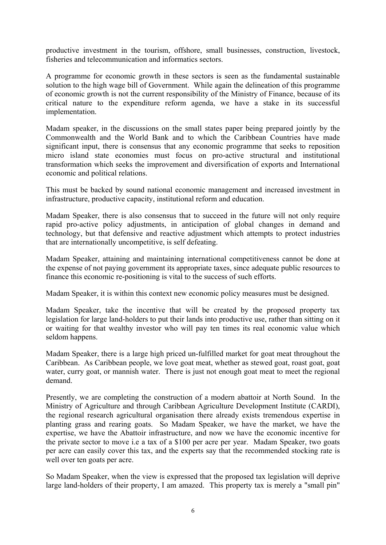productive investment in the tourism, offshore, small businesses, construction, livestock, fisheries and telecommunication and informatics sectors.

A programme for economic growth in these sectors is seen as the fundamental sustainable solution to the high wage bill of Government. While again the delineation of this programme of economic growth is not the current responsibility of the Ministry of Finance, because of its critical nature to the expenditure reform agenda, we have a stake in its successful implementation.

Madam speaker, in the discussions on the small states paper being prepared jointly by the Commonwealth and the World Bank and to which the Caribbean Countries have made significant input, there is consensus that any economic programme that seeks to reposition micro island state economies must focus on pro-active structural and institutional transformation which seeks the improvement and diversification of exports and International economic and political relations.

This must be backed by sound national economic management and increased investment in infrastructure, productive capacity, institutional reform and education.

Madam Speaker, there is also consensus that to succeed in the future will not only require rapid pro-active policy adjustments, in anticipation of global changes in demand and technology, but that defensive and reactive adjustment which attempts to protect industries that are internationally uncompetitive, is self defeating.

Madam Speaker, attaining and maintaining international competitiveness cannot be done at the expense of not paying government its appropriate taxes, since adequate public resources to finance this economic re-positioning is vital to the success of such efforts.

Madam Speaker, it is within this context new economic policy measures must be designed.

Madam Speaker, take the incentive that will be created by the proposed property tax legislation for large land-holders to put their lands into productive use, rather than sitting on it or waiting for that wealthy investor who will pay ten times its real economic value which seldom happens.

Madam Speaker, there is a large high priced un-fulfilled market for goat meat throughout the Caribbean. As Caribbean people, we love goat meat, whether as stewed goat, roast goat, goat water, curry goat, or mannish water. There is just not enough goat meat to meet the regional demand.

Presently, we are completing the construction of a modern abattoir at North Sound. In the Ministry of Agriculture and through Caribbean Agriculture Development Institute (CARDI), the regional research agricultural organisation there already exists tremendous expertise in planting grass and rearing goats. So Madam Speaker, we have the market, we have the expertise, we have the Abattoir infrastructure, and now we have the economic incentive for the private sector to move i.e a tax of a \$100 per acre per year. Madam Speaker, two goats per acre can easily cover this tax, and the experts say that the recommended stocking rate is well over ten goats per acre.

So Madam Speaker, when the view is expressed that the proposed tax legislation will deprive large land-holders of their property, I am amazed. This property tax is merely a "small pin"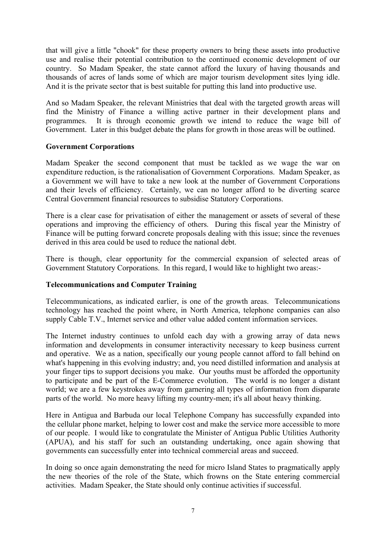that will give a little "chook" for these property owners to bring these assets into productive use and realise their potential contribution to the continued economic development of our country. So Madam Speaker, the state cannot afford the luxury of having thousands and thousands of acres of lands some of which are major tourism development sites lying idle. And it is the private sector that is best suitable for putting this land into productive use.

And so Madam Speaker, the relevant Ministries that deal with the targeted growth areas will find the Ministry of Finance a willing active partner in their development plans and programmes. It is through economic growth we intend to reduce the wage bill of Government. Later in this budget debate the plans for growth in those areas will be outlined.

# **Government Corporations**

Madam Speaker the second component that must be tackled as we wage the war on expenditure reduction, is the rationalisation of Government Corporations. Madam Speaker, as a Government we will have to take a new look at the number of Government Corporations and their levels of efficiency. Certainly, we can no longer afford to be diverting scarce Central Government financial resources to subsidise Statutory Corporations.

There is a clear case for privatisation of either the management or assets of several of these operations and improving the efficiency of others. During this fiscal year the Ministry of Finance will be putting forward concrete proposals dealing with this issue; since the revenues derived in this area could be used to reduce the national debt.

There is though, clear opportunity for the commercial expansion of selected areas of Government Statutory Corporations. In this regard, I would like to highlight two areas:-

#### **Telecommunications and Computer Training**

Telecommunications, as indicated earlier, is one of the growth areas. Telecommunications technology has reached the point where, in North America, telephone companies can also supply Cable T.V., Internet service and other value added content information services.

The Internet industry continues to unfold each day with a growing array of data news information and developments in consumer interactivity necessary to keep business current and operative. We as a nation, specifically our young people cannot afford to fall behind on what's happening in this evolving industry; and, you need distilled information and analysis at your finger tips to support decisions you make. Our youths must be afforded the opportunity to participate and be part of the E-Commerce evolution. The world is no longer a distant world; we are a few keystrokes away from garnering all types of information from disparate parts of the world. No more heavy lifting my country-men; it's all about heavy thinking.

Here in Antigua and Barbuda our local Telephone Company has successfully expanded into the cellular phone market, helping to lower cost and make the service more accessible to more of our people. I would like to congratulate the Minister of Antigua Public Utilities Authority (APUA), and his staff for such an outstanding undertaking, once again showing that governments can successfully enter into technical commercial areas and succeed.

In doing so once again demonstrating the need for micro Island States to pragmatically apply the new theories of the role of the State, which frowns on the State entering commercial activities. Madam Speaker, the State should only continue activities if successful.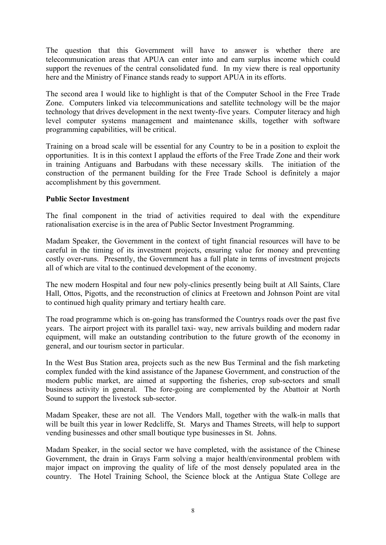The question that this Government will have to answer is whether there are telecommunication areas that APUA can enter into and earn surplus income which could support the revenues of the central consolidated fund. In my view there is real opportunity here and the Ministry of Finance stands ready to support APUA in its efforts.

The second area I would like to highlight is that of the Computer School in the Free Trade Zone. Computers linked via telecommunications and satellite technology will be the major technology that drives development in the next twenty-five years. Computer literacy and high level computer systems management and maintenance skills, together with software programming capabilities, will be critical.

Training on a broad scale will be essential for any Country to be in a position to exploit the opportunities. It is in this context I applaud the efforts of the Free Trade Zone and their work in training Antiguans and Barbudans with these necessary skills. The initiation of the construction of the permanent building for the Free Trade School is definitely a major accomplishment by this government.

# **Public Sector Investment**

The final component in the triad of activities required to deal with the expenditure rationalisation exercise is in the area of Public Sector Investment Programming.

Madam Speaker, the Government in the context of tight financial resources will have to be careful in the timing of its investment projects, ensuring value for money and preventing costly over-runs. Presently, the Government has a full plate in terms of investment projects all of which are vital to the continued development of the economy.

The new modern Hospital and four new poly-clinics presently being built at All Saints, Clare Hall, Ottos, Pigotts, and the reconstruction of clinics at Freetown and Johnson Point are vital to continued high quality primary and tertiary health care.

The road programme which is on-going has transformed the Countrys roads over the past five years. The airport project with its parallel taxi- way, new arrivals building and modern radar equipment, will make an outstanding contribution to the future growth of the economy in general, and our tourism sector in particular.

In the West Bus Station area, projects such as the new Bus Terminal and the fish marketing complex funded with the kind assistance of the Japanese Government, and construction of the modern public market, are aimed at supporting the fisheries, crop sub-sectors and small business activity in general. The fore-going are complemented by the Abattoir at North Sound to support the livestock sub-sector.

Madam Speaker, these are not all. The Vendors Mall, together with the walk-in malls that will be built this year in lower Redcliffe, St. Marys and Thames Streets, will help to support vending businesses and other small boutique type businesses in St. Johns.

Madam Speaker, in the social sector we have completed, with the assistance of the Chinese Government, the drain in Grays Farm solving a major health/environmental problem with major impact on improving the quality of life of the most densely populated area in the country. The Hotel Training School, the Science block at the Antigua State College are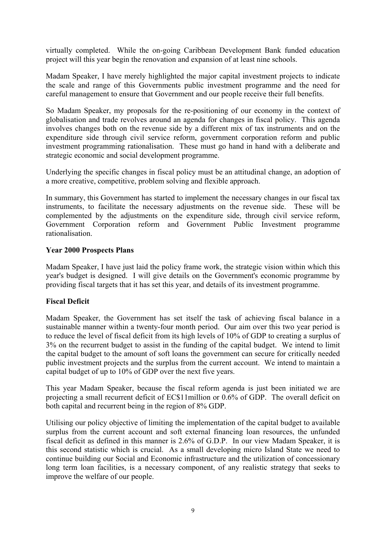virtually completed. While the on-going Caribbean Development Bank funded education project will this year begin the renovation and expansion of at least nine schools.

Madam Speaker, I have merely highlighted the major capital investment projects to indicate the scale and range of this Governments public investment programme and the need for careful management to ensure that Government and our people receive their full benefits.

So Madam Speaker, my proposals for the re-positioning of our economy in the context of globalisation and trade revolves around an agenda for changes in fiscal policy. This agenda involves changes both on the revenue side by a different mix of tax instruments and on the expenditure side through civil service reform, government corporation reform and public investment programming rationalisation. These must go hand in hand with a deliberate and strategic economic and social development programme.

Underlying the specific changes in fiscal policy must be an attitudinal change, an adoption of a more creative, competitive, problem solving and flexible approach.

In summary, this Government has started to implement the necessary changes in our fiscal tax instruments, to facilitate the necessary adjustments on the revenue side. These will be complemented by the adjustments on the expenditure side, through civil service reform, Government Corporation reform and Government Public Investment programme rationalisation.

#### **Year 2000 Prospects Plans**

Madam Speaker, I have just laid the policy frame work, the strategic vision within which this year's budget is designed. I will give details on the Government's economic programme by providing fiscal targets that it has set this year, and details of its investment programme.

# **Fiscal Deficit**

Madam Speaker, the Government has set itself the task of achieving fiscal balance in a sustainable manner within a twenty-four month period. Our aim over this two year period is to reduce the level of fiscal deficit from its high levels of 10% of GDP to creating a surplus of 3% on the recurrent budget to assist in the funding of the capital budget. We intend to limit the capital budget to the amount of soft loans the government can secure for critically needed public investment projects and the surplus from the current account. We intend to maintain a capital budget of up to 10% of GDP over the next five years.

This year Madam Speaker, because the fiscal reform agenda is just been initiated we are projecting a small recurrent deficit of EC\$11million or 0.6% of GDP. The overall deficit on both capital and recurrent being in the region of 8% GDP.

Utilising our policy objective of limiting the implementation of the capital budget to available surplus from the current account and soft external financing loan resources, the unfunded fiscal deficit as defined in this manner is 2.6% of G.D.P. In our view Madam Speaker, it is this second statistic which is crucial. As a small developing micro Island State we need to continue building our Social and Economic infrastructure and the utilization of concessionary long term loan facilities, is a necessary component, of any realistic strategy that seeks to improve the welfare of our people.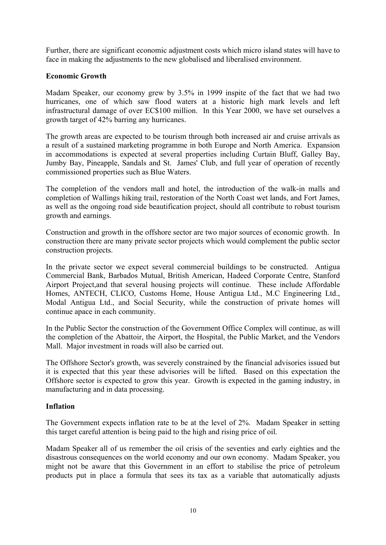Further, there are significant economic adjustment costs which micro island states will have to face in making the adjustments to the new globalised and liberalised environment.

# **Economic Growth**

Madam Speaker, our economy grew by 3.5% in 1999 inspite of the fact that we had two hurricanes, one of which saw flood waters at a historic high mark levels and left infrastructural damage of over EC\$100 million. In this Year 2000, we have set ourselves a growth target of 42% barring any hurricanes.

The growth areas are expected to be tourism through both increased air and cruise arrivals as a result of a sustained marketing programme in both Europe and North America. Expansion in accommodations is expected at several properties including Curtain Bluff, Galley Bay, Jumby Bay, Pineapple, Sandals and St. James' Club, and full year of operation of recently commissioned properties such as Blue Waters.

The completion of the vendors mall and hotel, the introduction of the walk-in malls and completion of Wallings hiking trail, restoration of the North Coast wet lands, and Fort James, as well as the ongoing road side beautification project, should all contribute to robust tourism growth and earnings.

Construction and growth in the offshore sector are two major sources of economic growth. In construction there are many private sector projects which would complement the public sector construction projects.

In the private sector we expect several commercial buildings to be constructed. Antigua Commercial Bank, Barbados Mutual, British American, Hadeed Corporate Centre, Stanford Airport Project,and that several housing projects will continue. These include Affordable Homes, ANTECH, CLICO, Customs Home, House Antigua Ltd., M.C Engineering Ltd., Modal Antigua Ltd., and Social Security, while the construction of private homes will continue apace in each community.

In the Public Sector the construction of the Government Office Complex will continue, as will the completion of the Abattoir, the Airport, the Hospital, the Public Market, and the Vendors Mall. Major investment in roads will also be carried out.

The Offshore Sector's growth, was severely constrained by the financial advisories issued but it is expected that this year these advisories will be lifted. Based on this expectation the Offshore sector is expected to grow this year. Growth is expected in the gaming industry, in manufacturing and in data processing.

# **Inflation**

The Government expects inflation rate to be at the level of 2%. Madam Speaker in setting this target careful attention is being paid to the high and rising price of oil.

Madam Speaker all of us remember the oil crisis of the seventies and early eighties and the disastrous consequences on the world economy and our own economy. Madam Speaker, you might not be aware that this Government in an effort to stabilise the price of petroleum products put in place a formula that sees its tax as a variable that automatically adjusts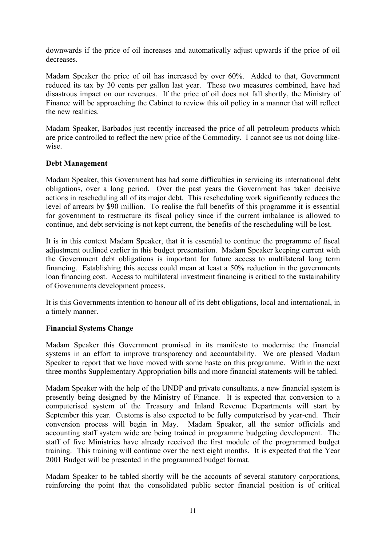downwards if the price of oil increases and automatically adjust upwards if the price of oil decreases.

Madam Speaker the price of oil has increased by over 60%. Added to that, Government reduced its tax by 30 cents per gallon last year. These two measures combined, have had disastrous impact on our revenues. If the price of oil does not fall shortly, the Ministry of Finance will be approaching the Cabinet to review this oil policy in a manner that will reflect the new realities.

Madam Speaker, Barbados just recently increased the price of all petroleum products which are price controlled to reflect the new price of the Commodity. I cannot see us not doing likewise.

#### **Debt Management**

Madam Speaker, this Government has had some difficulties in servicing its international debt obligations, over a long period. Over the past years the Government has taken decisive actions in rescheduling all of its major debt. This rescheduling work significantly reduces the level of arrears by \$90 million. To realise the full benefits of this programme it is essential for government to restructure its fiscal policy since if the current imbalance is allowed to continue, and debt servicing is not kept current, the benefits of the rescheduling will be lost.

It is in this context Madam Speaker, that it is essential to continue the programme of fiscal adjustment outlined earlier in this budget presentation. Madam Speaker keeping current with the Government debt obligations is important for future access to multilateral long term financing. Establishing this access could mean at least a 50% reduction in the governments loan financing cost. Access to multilateral investment financing is critical to the sustainability of Governments development process.

It is this Governments intention to honour all of its debt obligations, local and international, in a timely manner.

# **Financial Systems Change**

Madam Speaker this Government promised in its manifesto to modernise the financial systems in an effort to improve transparency and accountability. We are pleased Madam Speaker to report that we have moved with some haste on this programme. Within the next three months Supplementary Appropriation bills and more financial statements will be tabled.

Madam Speaker with the help of the UNDP and private consultants, a new financial system is presently being designed by the Ministry of Finance. It is expected that conversion to a computerised system of the Treasury and Inland Revenue Departments will start by September this year. Customs is also expected to be fully computerised by year-end. Their conversion process will begin in May. Madam Speaker, all the senior officials and accounting staff system wide are being trained in programme budgeting development. The staff of five Ministries have already received the first module of the programmed budget training. This training will continue over the next eight months. It is expected that the Year 2001 Budget will be presented in the programmed budget format.

Madam Speaker to be tabled shortly will be the accounts of several statutory corporations, reinforcing the point that the consolidated public sector financial position is of critical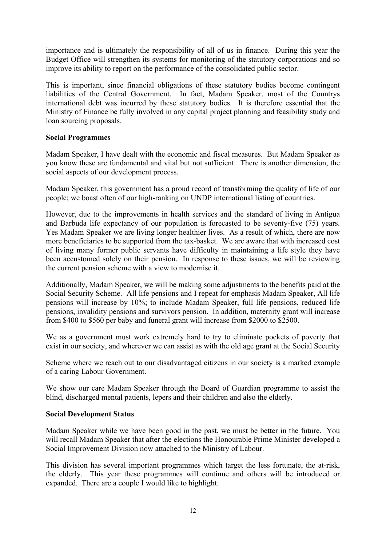importance and is ultimately the responsibility of all of us in finance. During this year the Budget Office will strengthen its systems for monitoring of the statutory corporations and so improve its ability to report on the performance of the consolidated public sector.

This is important, since financial obligations of these statutory bodies become contingent liabilities of the Central Government. In fact, Madam Speaker, most of the Countrys international debt was incurred by these statutory bodies. It is therefore essential that the Ministry of Finance be fully involved in any capital project planning and feasibility study and loan sourcing proposals.

#### **Social Programmes**

Madam Speaker, I have dealt with the economic and fiscal measures. But Madam Speaker as you know these are fundamental and vital but not sufficient. There is another dimension, the social aspects of our development process.

Madam Speaker, this government has a proud record of transforming the quality of life of our people; we boast often of our high-ranking on UNDP international listing of countries.

However, due to the improvements in health services and the standard of living in Antigua and Barbuda life expectancy of our population is forecasted to be seventy-five (75) years. Yes Madam Speaker we are living longer healthier lives. As a result of which, there are now more beneficiaries to be supported from the tax-basket. We are aware that with increased cost of living many former public servants have difficulty in maintaining a life style they have been accustomed solely on their pension. In response to these issues, we will be reviewing the current pension scheme with a view to modernise it.

Additionally, Madam Speaker, we will be making some adjustments to the benefits paid at the Social Security Scheme. All life pensions and I repeat for emphasis Madam Speaker, All life pensions will increase by 10%; to include Madam Speaker, full life pensions, reduced life pensions, invalidity pensions and survivors pension. In addition, maternity grant will increase from \$400 to \$560 per baby and funeral grant will increase from \$2000 to \$2500.

We as a government must work extremely hard to try to eliminate pockets of poverty that exist in our society, and wherever we can assist as with the old age grant at the Social Security

Scheme where we reach out to our disadvantaged citizens in our society is a marked example of a caring Labour Government.

We show our care Madam Speaker through the Board of Guardian programme to assist the blind, discharged mental patients, lepers and their children and also the elderly.

#### **Social Development Status**

Madam Speaker while we have been good in the past, we must be better in the future. You will recall Madam Speaker that after the elections the Honourable Prime Minister developed a Social Improvement Division now attached to the Ministry of Labour.

This division has several important programmes which target the less fortunate, the at-risk, the elderly. This year these programmes will continue and others will be introduced or expanded. There are a couple I would like to highlight.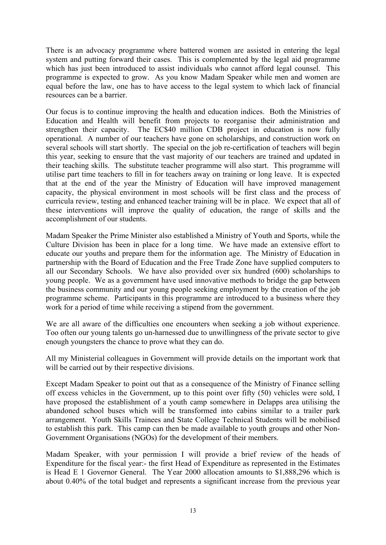There is an advocacy programme where battered women are assisted in entering the legal system and putting forward their cases. This is complemented by the legal aid programme which has just been introduced to assist individuals who cannot afford legal counsel. This programme is expected to grow. As you know Madam Speaker while men and women are equal before the law, one has to have access to the legal system to which lack of financial resources can be a barrier.

Our focus is to continue improving the health and education indices. Both the Ministries of Education and Health will benefit from projects to reorganise their administration and strengthen their capacity. The EC\$40 million CDB project in education is now fully operational. A number of our teachers have gone on scholarships, and construction work on several schools will start shortly. The special on the job re-certification of teachers will begin this year, seeking to ensure that the vast majority of our teachers are trained and updated in their teaching skills. The substitute teacher programme will also start. This programme will utilise part time teachers to fill in for teachers away on training or long leave. It is expected that at the end of the year the Ministry of Education will have improved management capacity, the physical environment in most schools will be first class and the process of curricula review, testing and enhanced teacher training will be in place. We expect that all of these interventions will improve the quality of education, the range of skills and the accomplishment of our students.

Madam Speaker the Prime Minister also established a Ministry of Youth and Sports, while the Culture Division has been in place for a long time. We have made an extensive effort to educate our youths and prepare them for the information age. The Ministry of Education in partnership with the Board of Education and the Free Trade Zone have supplied computers to all our Secondary Schools. We have also provided over six hundred (600) scholarships to young people. We as a government have used innovative methods to bridge the gap between the business community and our young people seeking employment by the creation of the job programme scheme. Participants in this programme are introduced to a business where they work for a period of time while receiving a stipend from the government.

We are all aware of the difficulties one encounters when seeking a job without experience. Too often our young talents go un-harnessed due to unwillingness of the private sector to give enough youngsters the chance to prove what they can do.

All my Ministerial colleagues in Government will provide details on the important work that will be carried out by their respective divisions.

Except Madam Speaker to point out that as a consequence of the Ministry of Finance selling off excess vehicles in the Government, up to this point over fifty (50) vehicles were sold, I have proposed the establishment of a youth camp somewhere in Delapps area utilising the abandoned school buses which will be transformed into cabins similar to a trailer park arrangement. Youth Skills Trainees and State College Technical Students will be mobilised to establish this park. This camp can then be made available to youth groups and other Non-Government Organisations (NGOs) for the development of their members.

Madam Speaker, with your permission I will provide a brief review of the heads of Expenditure for the fiscal year:- the first Head of Expenditure as represented in the Estimates is Head E 1 Governor General. The Year 2000 allocation amounts to \$1,888,296 which is about 0.40% of the total budget and represents a significant increase from the previous year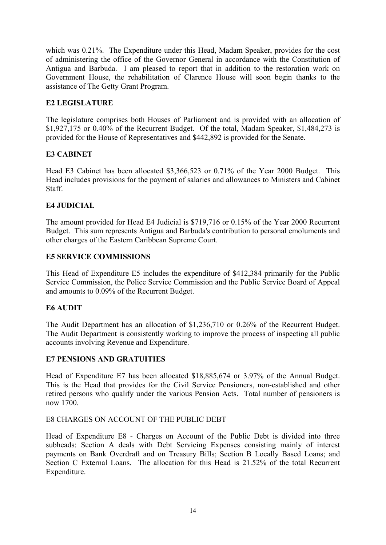which was 0.21%. The Expenditure under this Head, Madam Speaker, provides for the cost of administering the office of the Governor General in accordance with the Constitution of Antigua and Barbuda. I am pleased to report that in addition to the restoration work on Government House, the rehabilitation of Clarence House will soon begin thanks to the assistance of The Getty Grant Program.

# **E2 LEGISLATURE**

The legislature comprises both Houses of Parliament and is provided with an allocation of \$1,927,175 or 0.40% of the Recurrent Budget. Of the total, Madam Speaker, \$1,484,273 is provided for the House of Representatives and \$442,892 is provided for the Senate.

# **E3 CABINET**

Head E3 Cabinet has been allocated \$3,366,523 or 0.71% of the Year 2000 Budget. This Head includes provisions for the payment of salaries and allowances to Ministers and Cabinet **Staff** 

# **E4 JUDICIAL**

The amount provided for Head E4 Judicial is \$719,716 or 0.15% of the Year 2000 Recurrent Budget. This sum represents Antigua and Barbuda's contribution to personal emoluments and other charges of the Eastern Caribbean Supreme Court.

#### **E5 SERVICE COMMISSIONS**

This Head of Expenditure E5 includes the expenditure of \$412,384 primarily for the Public Service Commission, the Police Service Commission and the Public Service Board of Appeal and amounts to 0.09% of the Recurrent Budget.

# **E6 AUDIT**

The Audit Department has an allocation of \$1,236,710 or 0.26% of the Recurrent Budget. The Audit Department is consistently working to improve the process of inspecting all public accounts involving Revenue and Expenditure.

#### **E7 PENSIONS AND GRATUITIES**

Head of Expenditure E7 has been allocated \$18,885,674 or 3.97% of the Annual Budget. This is the Head that provides for the Civil Service Pensioners, non-established and other retired persons who qualify under the various Pension Acts. Total number of pensioners is now 1700.

#### E8 CHARGES ON ACCOUNT OF THE PUBLIC DEBT

Head of Expenditure E8 - Charges on Account of the Public Debt is divided into three subheads: Section A deals with Debt Servicing Expenses consisting mainly of interest payments on Bank Overdraft and on Treasury Bills; Section B Locally Based Loans; and Section C External Loans. The allocation for this Head is 21.52% of the total Recurrent Expenditure.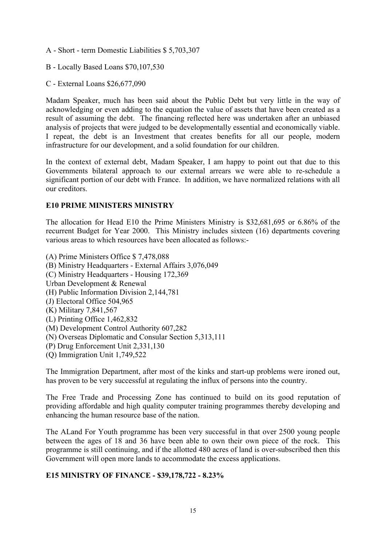- A Short term Domestic Liabilities \$ 5,703,307
- B Locally Based Loans \$70,107,530
- C External Loans \$26,677,090

Madam Speaker, much has been said about the Public Debt but very little in the way of acknowledging or even adding to the equation the value of assets that have been created as a result of assuming the debt. The financing reflected here was undertaken after an unbiased analysis of projects that were judged to be developmentally essential and economically viable. I repeat, the debt is an Investment that creates benefits for all our people, modern infrastructure for our development, and a solid foundation for our children.

In the context of external debt, Madam Speaker, I am happy to point out that due to this Governments bilateral approach to our external arrears we were able to re-schedule a significant portion of our debt with France. In addition, we have normalized relations with all our creditors.

#### **E10 PRIME MINISTERS MINISTRY**

The allocation for Head E10 the Prime Ministers Ministry is \$32,681,695 or 6.86% of the recurrent Budget for Year 2000. This Ministry includes sixteen (16) departments covering various areas to which resources have been allocated as follows:-

(A) Prime Ministers Office \$ 7,478,088 (B) Ministry Headquarters - External Affairs 3,076,049 (C) Ministry Headquarters - Housing 172,369 Urban Development & Renewal (H) Public Information Division 2,144,781 (J) Electoral Office 504,965 (K) Military 7,841,567 (L) Printing Office 1,462,832 (M) Development Control Authority 607,282 (N) Overseas Diplomatic and Consular Section 5,313,111 (P) Drug Enforcement Unit 2,331,130 (Q) Immigration Unit 1,749,522

The Immigration Department, after most of the kinks and start-up problems were ironed out, has proven to be very successful at regulating the influx of persons into the country.

The Free Trade and Processing Zone has continued to build on its good reputation of providing affordable and high quality computer training programmes thereby developing and enhancing the human resource base of the nation.

The ALand For Youth programme has been very successful in that over 2500 young people between the ages of 18 and 36 have been able to own their own piece of the rock. This programme is still continuing, and if the allotted 480 acres of land is over-subscribed then this Government will open more lands to accommodate the excess applications.

# **E15 MINISTRY OF FINANCE - \$39,178,722 - 8.23%**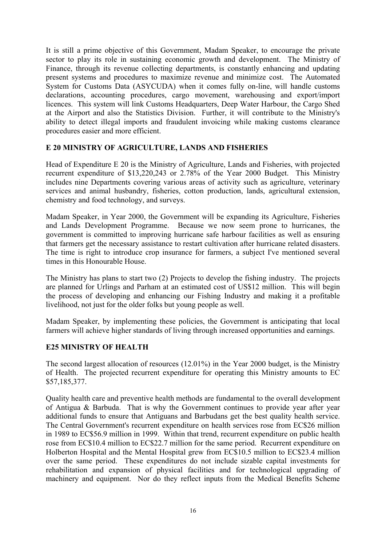It is still a prime objective of this Government, Madam Speaker, to encourage the private sector to play its role in sustaining economic growth and development. The Ministry of Finance, through its revenue collecting departments, is constantly enhancing and updating present systems and procedures to maximize revenue and minimize cost. The Automated System for Customs Data (ASYCUDA) when it comes fully on-line, will handle customs declarations, accounting procedures, cargo movement, warehousing and export/import licences. This system will link Customs Headquarters, Deep Water Harbour, the Cargo Shed at the Airport and also the Statistics Division. Further, it will contribute to the Ministry's ability to detect illegal imports and fraudulent invoicing while making customs clearance procedures easier and more efficient.

#### **E 20 MINISTRY OF AGRICULTURE, LANDS AND FISHERIES**

Head of Expenditure E 20 is the Ministry of Agriculture, Lands and Fisheries, with projected recurrent expenditure of \$13,220,243 or 2.78% of the Year 2000 Budget. This Ministry includes nine Departments covering various areas of activity such as agriculture, veterinary services and animal husbandry, fisheries, cotton production, lands, agricultural extension, chemistry and food technology, and surveys.

Madam Speaker, in Year 2000, the Government will be expanding its Agriculture, Fisheries and Lands Development Programme. Because we now seem prone to hurricanes, the government is committed to improving hurricane safe harbour facilities as well as ensuring that farmers get the necessary assistance to restart cultivation after hurricane related disasters. The time is right to introduce crop insurance for farmers, a subject I've mentioned several times in this Honourable House.

The Ministry has plans to start two (2) Projects to develop the fishing industry. The projects are planned for Urlings and Parham at an estimated cost of US\$12 million. This will begin the process of developing and enhancing our Fishing Industry and making it a profitable livelihood, not just for the older folks but young people as well.

Madam Speaker, by implementing these policies, the Government is anticipating that local farmers will achieve higher standards of living through increased opportunities and earnings.

# **E25 MINISTRY OF HEALTH**

The second largest allocation of resources (12.01%) in the Year 2000 budget, is the Ministry of Health. The projected recurrent expenditure for operating this Ministry amounts to EC \$57,185,377.

Quality health care and preventive health methods are fundamental to the overall development of Antigua & Barbuda. That is why the Government continues to provide year after year additional funds to ensure that Antiguans and Barbudans get the best quality health service. The Central Government's recurrent expenditure on health services rose from EC\$26 million in 1989 to EC\$56.9 million in 1999. Within that trend, recurrent expenditure on public health rose from EC\$10.4 million to EC\$22.7 million for the same period. Recurrent expenditure on Holberton Hospital and the Mental Hospital grew from EC\$10.5 million to EC\$23.4 million over the same period. These expenditures do not include sizable capital investments for rehabilitation and expansion of physical facilities and for technological upgrading of machinery and equipment. Nor do they reflect inputs from the Medical Benefits Scheme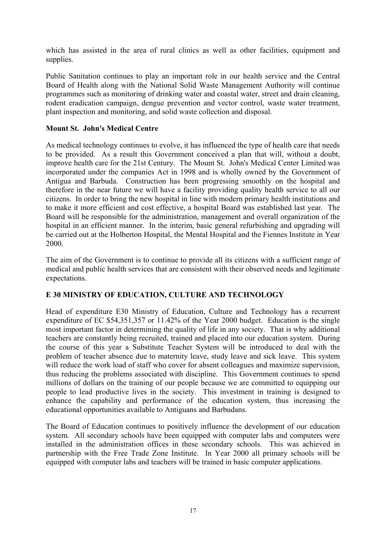which has assisted in the area of rural clinics as well as other facilities, equipment and supplies.

Public Sanitation continues to play an important role in our health service and the Central Board of Health along with the National Solid Waste Management Authority will continue programmes such as monitoring of drinking water and coastal water, street and drain cleaning, rodent eradication campaign, dengue prevention and vector control, waste water treatment, plant inspection and monitoring, and solid waste collection and disposal.

# **Mount St. John's Medical Centre**

As medical technology continues to evolve, it has influenced the type of health care that needs to be provided. As a result this Government conceived a plan that will, without a doubt, improve health care for the 21st Century. The Mount St. John's Medical Center Limited was incorporated under the companies Act in 1998 and is wholly owned by the Government of Antigua and Barbuda. Construction has been progressing smoothly on the hospital and therefore in the near future we will have a facility providing quality health service to all our citizens. In order to bring the new hospital in line with modern primary health institutions and to make it more efficient and cost effective, a hospital Board was established last year. The Board will be responsible for the administration, management and overall organization of the hospital in an efficient manner. In the interim, basic general refurbishing and upgrading will be carried out at the Holberton Hospital, the Mental Hospital and the Fiennes Institute in Year 2000.

The aim of the Government is to continue to provide all its citizens with a sufficient range of medical and public health services that are consistent with their observed needs and legitimate expectations.

# **E 30 MINISTRY OF EDUCATION, CULTURE AND TECHNOLOGY**

Head of expenditure E30 Ministry of Education, Culture and Technology has a recurrent expenditure of EC \$54,351,357 or 11.42% of the Year 2000 budget. Education is the single most important factor in determining the quality of life in any society. That is why additional teachers are constantly being recruited, trained and placed into our education system. During the course of this year a Substitute Teacher System will be introduced to deal with the problem of teacher absence due to maternity leave, study leave and sick leave. This system will reduce the work load of staff who cover for absent colleagues and maximize supervision. thus reducing the problems associated with discipline. This Government continues to spend millions of dollars on the training of our people because we are committed to equipping our people to lead productive lives in the society. This investment in training is designed to enhance the capability and performance of the education system, thus increasing the educational opportunities available to Antiguans and Barbudans.

The Board of Education continues to positively influence the development of our education system. All secondary schools have been equipped with computer labs and computers were installed in the administration offices in these secondary schools. This was achieved in partnership with the Free Trade Zone Institute. In Year 2000 all primary schools will be equipped with computer labs and teachers will be trained in basic computer applications.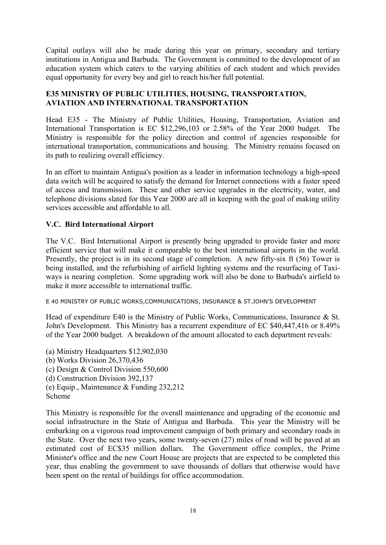Capital outlays will also be made during this year on primary, secondary and tertiary institutions in Antigua and Barbuda. The Government is committed to the development of an education system which caters to the varying abilities of each student and which provides equal opportunity for every boy and girl to reach his/her full potential.

# **E35 MINISTRY OF PUBLIC UTILITIES, HOUSING, TRANSPORTATION, AVIATION AND INTERNATIONAL TRANSPORTATION**

Head E35 - The Ministry of Public Utilities, Housing, Transportation, Aviation and International Transportation is EC \$12,296,103 or 2.58% of the Year 2000 budget. The Ministry is responsible for the policy direction and control of agencies responsible for international transportation, communications and housing. The Ministry remains focused on its path to realizing overall efficiency.

In an effort to maintain Antigua's position as a leader in information technology a high-speed data switch will be acquired to satisfy the demand for Internet connections with a faster speed of access and transmission. These and other service upgrades in the electricity, water, and telephone divisions slated for this Year 2000 are all in keeping with the goal of making utility services accessible and affordable to all.

# **V.C. Bird International Airport**

The V.C. Bird International Airport is presently being upgraded to provide faster and more efficient service that will make it comparable to the best international airports in the world. Presently, the project is in its second stage of completion. A new fifty-six ft (56) Tower is being installed, and the refurbishing of airfield lighting systems and the resurfacing of Taxiways is nearing completion. Some upgrading work will also be done to Barbuda's airfield to make it more accessible to international traffic.

E 40 MINISTRY OF PUBLIC WORKS,COMMUNICATIONS, INSURANCE & ST.JOHN'S DEVELOPMENT

Head of expenditure E40 is the Ministry of Public Works, Communications, Insurance & St. John's Development. This Ministry has a recurrent expenditure of EC \$40,447,416 or 8.49% of the Year 2000 budget. A breakdown of the amount allocated to each department reveals:

(a) Ministry Headquarters \$12,902,030 (b) Works Division 26,370,436 (c) Design & Control Division 550,600 (d) Construction Division 392,137 (e) Equip., Maintenance & Funding 232,212 Scheme

This Ministry is responsible for the overall maintenance and upgrading of the economic and social infrastructure in the State of Antigua and Barbuda. This year the Ministry will be embarking on a vigorous road improvement campaign of both primary and secondary roads in the State. Over the next two years, some twenty-seven (27) miles of road will be paved at an estimated cost of EC\$35 million dollars. The Government office complex, the Prime Minister's office and the new Court House are projects that are expected to be completed this year, thus enabling the government to save thousands of dollars that otherwise would have been spent on the rental of buildings for office accommodation.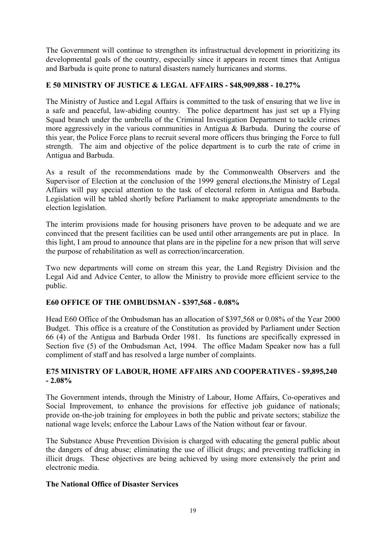The Government will continue to strengthen its infrastructual development in prioritizing its developmental goals of the country, especially since it appears in recent times that Antigua and Barbuda is quite prone to natural disasters namely hurricanes and storms.

# **E 50 MINISTRY OF JUSTICE & LEGAL AFFAIRS - \$48,909,888 - 10.27%**

The Ministry of Justice and Legal Affairs is committed to the task of ensuring that we live in a safe and peaceful, law-abiding country. The police department has just set up a Flying Squad branch under the umbrella of the Criminal Investigation Department to tackle crimes more aggressively in the various communities in Antigua & Barbuda. During the course of this year, the Police Force plans to recruit several more officers thus bringing the Force to full strength. The aim and objective of the police department is to curb the rate of crime in Antigua and Barbuda.

As a result of the recommendations made by the Commonwealth Observers and the Supervisor of Election at the conclusion of the 1999 general elections,the Ministry of Legal Affairs will pay special attention to the task of electoral reform in Antigua and Barbuda. Legislation will be tabled shortly before Parliament to make appropriate amendments to the election legislation.

The interim provisions made for housing prisoners have proven to be adequate and we are convinced that the present facilities can be used until other arrangements are put in place. In this light, I am proud to announce that plans are in the pipeline for a new prison that will serve the purpose of rehabilitation as well as correction/incarceration.

Two new departments will come on stream this year, the Land Registry Division and the Legal Aid and Advice Center, to allow the Ministry to provide more efficient service to the public.

# **E60 OFFICE OF THE OMBUDSMAN - \$397,568 - 0.08%**

Head E60 Office of the Ombudsman has an allocation of \$397,568 or 0.08% of the Year 2000 Budget. This office is a creature of the Constitution as provided by Parliament under Section 66 (4) of the Antigua and Barbuda Order 1981. Its functions are specifically expressed in Section five (5) of the Ombudsman Act, 1994. The office Madam Speaker now has a full compliment of staff and has resolved a large number of complaints.

# **E75 MINISTRY OF LABOUR, HOME AFFAIRS AND COOPERATIVES - \$9,895,240 - 2.08%**

The Government intends, through the Ministry of Labour, Home Affairs, Co-operatives and Social Improvement, to enhance the provisions for effective job guidance of nationals; provide on-the-job training for employees in both the public and private sectors; stabilize the national wage levels; enforce the Labour Laws of the Nation without fear or favour.

The Substance Abuse Prevention Division is charged with educating the general public about the dangers of drug abuse; eliminating the use of illicit drugs; and preventing trafficking in illicit drugs. These objectives are being achieved by using more extensively the print and electronic media.

# **The National Office of Disaster Services**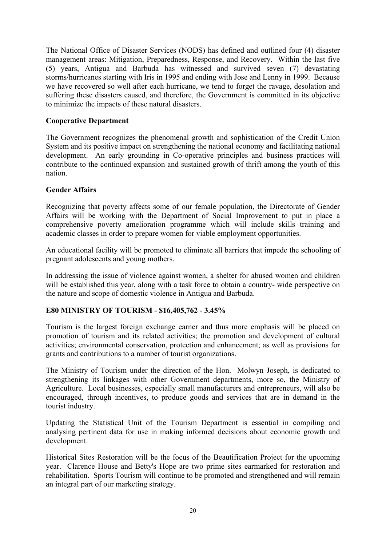The National Office of Disaster Services (NODS) has defined and outlined four (4) disaster management areas: Mitigation, Preparedness, Response, and Recovery. Within the last five (5) years, Antigua and Barbuda has witnessed and survived seven (7) devastating storms/hurricanes starting with Iris in 1995 and ending with Jose and Lenny in 1999. Because we have recovered so well after each hurricane, we tend to forget the ravage, desolation and suffering these disasters caused, and therefore, the Government is committed in its objective to minimize the impacts of these natural disasters.

# **Cooperative Department**

The Government recognizes the phenomenal growth and sophistication of the Credit Union System and its positive impact on strengthening the national economy and facilitating national development. An early grounding in Co-operative principles and business practices will contribute to the continued expansion and sustained growth of thrift among the youth of this nation.

#### **Gender Affairs**

Recognizing that poverty affects some of our female population, the Directorate of Gender Affairs will be working with the Department of Social Improvement to put in place a comprehensive poverty amelioration programme which will include skills training and academic classes in order to prepare women for viable employment opportunities.

An educational facility will be promoted to eliminate all barriers that impede the schooling of pregnant adolescents and young mothers.

In addressing the issue of violence against women, a shelter for abused women and children will be established this year, along with a task force to obtain a country- wide perspective on the nature and scope of domestic violence in Antigua and Barbuda.

# **E80 MINISTRY OF TOURISM - \$16,405,762 - 3.45%**

Tourism is the largest foreign exchange earner and thus more emphasis will be placed on promotion of tourism and its related activities; the promotion and development of cultural activities; environmental conservation, protection and enhancement; as well as provisions for grants and contributions to a number of tourist organizations.

The Ministry of Tourism under the direction of the Hon. Molwyn Joseph, is dedicated to strengthening its linkages with other Government departments, more so, the Ministry of Agriculture. Local businesses, especially small manufacturers and entrepreneurs, will also be encouraged, through incentives, to produce goods and services that are in demand in the tourist industry.

Updating the Statistical Unit of the Tourism Department is essential in compiling and analysing pertinent data for use in making informed decisions about economic growth and development.

Historical Sites Restoration will be the focus of the Beautification Project for the upcoming year. Clarence House and Betty's Hope are two prime sites earmarked for restoration and rehabilitation. Sports Tourism will continue to be promoted and strengthened and will remain an integral part of our marketing strategy.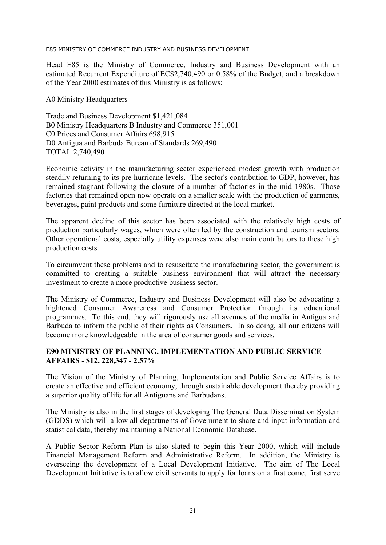E85 MINISTRY OF COMMERCE INDUSTRY AND BUSINESS DEVELOPMENT

Head E85 is the Ministry of Commerce, Industry and Business Development with an estimated Recurrent Expenditure of EC\$2,740,490 or 0.58% of the Budget, and a breakdown of the Year 2000 estimates of this Ministry is as follows:

A0 Ministry Headquarters -

Trade and Business Development \$1,421,084 B0 Ministry Headquarters B Industry and Commerce 351,001 C0 Prices and Consumer Affairs 698,915 D0 Antigua and Barbuda Bureau of Standards 269,490 TOTAL 2,740,490

Economic activity in the manufacturing sector experienced modest growth with production steadily returning to its pre-hurricane levels. The sector's contribution to GDP, however, has remained stagnant following the closure of a number of factories in the mid 1980s. Those factories that remained open now operate on a smaller scale with the production of garments, beverages, paint products and some furniture directed at the local market.

The apparent decline of this sector has been associated with the relatively high costs of production particularly wages, which were often led by the construction and tourism sectors. Other operational costs, especially utility expenses were also main contributors to these high production costs.

To circumvent these problems and to resuscitate the manufacturing sector, the government is committed to creating a suitable business environment that will attract the necessary investment to create a more productive business sector.

The Ministry of Commerce, Industry and Business Development will also be advocating a hightened Consumer Awareness and Consumer Protection through its educational programmes. To this end, they will rigorously use all avenues of the media in Antigua and Barbuda to inform the public of their rights as Consumers. In so doing, all our citizens will become more knowledgeable in the area of consumer goods and services.

#### **E90 MINISTRY OF PLANNING, IMPLEMENTATION AND PUBLIC SERVICE AFFAIRS - \$12, 228,347 - 2.57%**

The Vision of the Ministry of Planning, Implementation and Public Service Affairs is to create an effective and efficient economy, through sustainable development thereby providing a superior quality of life for all Antiguans and Barbudans.

The Ministry is also in the first stages of developing The General Data Dissemination System (GDDS) which will allow all departments of Government to share and input information and statistical data, thereby maintaining a National Economic Database.

A Public Sector Reform Plan is also slated to begin this Year 2000, which will include Financial Management Reform and Administrative Reform. In addition, the Ministry is overseeing the development of a Local Development Initiative. The aim of The Local Development Initiative is to allow civil servants to apply for loans on a first come, first serve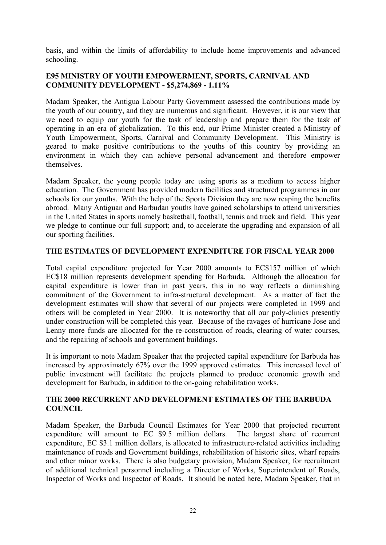basis, and within the limits of affordability to include home improvements and advanced schooling.

# **E95 MINISTRY OF YOUTH EMPOWERMENT, SPORTS, CARNIVAL AND COMMUNITY DEVELOPMENT - \$5,274,869 - 1.11%**

Madam Speaker, the Antigua Labour Party Government assessed the contributions made by the youth of our country, and they are numerous and significant. However, it is our view that we need to equip our youth for the task of leadership and prepare them for the task of operating in an era of globalization. To this end, our Prime Minister created a Ministry of Youth Empowerment, Sports, Carnival and Community Development. This Ministry is geared to make positive contributions to the youths of this country by providing an environment in which they can achieve personal advancement and therefore empower themselves.

Madam Speaker, the young people today are using sports as a medium to access higher education. The Government has provided modern facilities and structured programmes in our schools for our youths. With the help of the Sports Division they are now reaping the benefits abroad. Many Antiguan and Barbudan youths have gained scholarships to attend universities in the United States in sports namely basketball, football, tennis and track and field. This year we pledge to continue our full support; and, to accelerate the upgrading and expansion of all our sporting facilities.

# **THE ESTIMATES OF DEVELOPMENT EXPENDITURE FOR FISCAL YEAR 2000**

Total capital expenditure projected for Year 2000 amounts to EC\$157 million of which EC\$18 million represents development spending for Barbuda. Although the allocation for capital expenditure is lower than in past years, this in no way reflects a diminishing commitment of the Government to infra-structural development. As a matter of fact the development estimates will show that several of our projects were completed in 1999 and others will be completed in Year 2000. It is noteworthy that all our poly-clinics presently under construction will be completed this year. Because of the ravages of hurricane Jose and Lenny more funds are allocated for the re-construction of roads, clearing of water courses, and the repairing of schools and government buildings.

It is important to note Madam Speaker that the projected capital expenditure for Barbuda has increased by approximately 67% over the 1999 approved estimates. This increased level of public investment will facilitate the projects planned to produce economic growth and development for Barbuda, in addition to the on-going rehabilitation works.

#### **THE 2000 RECURRENT AND DEVELOPMENT ESTIMATES OF THE BARBUDA COUNCIL**

Madam Speaker, the Barbuda Council Estimates for Year 2000 that projected recurrent expenditure will amount to EC \$9.5 million dollars. The largest share of recurrent expenditure, EC \$3.1 million dollars, is allocated to infrastructure-related activities including maintenance of roads and Government buildings, rehabilitation of historic sites, wharf repairs and other minor works. There is also budgetary provision, Madam Speaker, for recruitment of additional technical personnel including a Director of Works, Superintendent of Roads, Inspector of Works and Inspector of Roads. It should be noted here, Madam Speaker, that in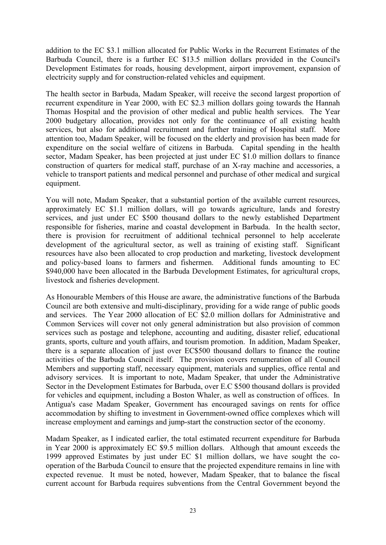addition to the EC \$3.1 million allocated for Public Works in the Recurrent Estimates of the Barbuda Council, there is a further EC \$13.5 million dollars provided in the Council's Development Estimates for roads, housing development, airport improvement, expansion of electricity supply and for construction-related vehicles and equipment.

The health sector in Barbuda, Madam Speaker, will receive the second largest proportion of recurrent expenditure in Year 2000, with EC \$2.3 million dollars going towards the Hannah Thomas Hospital and the provision of other medical and public health services. The Year 2000 budgetary allocation, provides not only for the continuance of all existing health services, but also for additional recruitment and further training of Hospital staff. More attention too, Madam Speaker, will be focused on the elderly and provision has been made for expenditure on the social welfare of citizens in Barbuda. Capital spending in the health sector, Madam Speaker, has been projected at just under EC \$1.0 million dollars to finance construction of quarters for medical staff, purchase of an X-ray machine and accessories, a vehicle to transport patients and medical personnel and purchase of other medical and surgical equipment.

You will note, Madam Speaker, that a substantial portion of the available current resources, approximately EC \$1.1 million dollars, will go towards agriculture, lands and forestry services, and just under EC \$500 thousand dollars to the newly established Department responsible for fisheries, marine and coastal development in Barbuda. In the health sector, there is provision for recruitment of additional technical personnel to help accelerate development of the agricultural sector, as well as training of existing staff. Significant resources have also been allocated to crop production and marketing, livestock development and policy-based loans to farmers and fishermen. Additional funds amounting to EC \$940,000 have been allocated in the Barbuda Development Estimates, for agricultural crops, livestock and fisheries development.

As Honourable Members of this House are aware, the administrative functions of the Barbuda Council are both extensive and multi-disciplinary, providing for a wide range of public goods and services. The Year 2000 allocation of EC \$2.0 million dollars for Administrative and Common Services will cover not only general administration but also provision of common services such as postage and telephone, accounting and auditing, disaster relief, educational grants, sports, culture and youth affairs, and tourism promotion. In addition, Madam Speaker, there is a separate allocation of just over EC\$500 thousand dollars to finance the routine activities of the Barbuda Council itself. The provision covers renumeration of all Council Members and supporting staff, necessary equipment, materials and supplies, office rental and advisory services. It is important to note, Madam Speaker, that under the Administrative Sector in the Development Estimates for Barbuda, over E.C \$500 thousand dollars is provided for vehicles and equipment, including a Boston Whaler, as well as construction of offices. In Antigua's case Madam Speaker, Government has encouraged savings on rents for office accommodation by shifting to investment in Government-owned office complexes which will increase employment and earnings and jump-start the construction sector of the economy.

Madam Speaker, as I indicated earlier, the total estimated recurrent expenditure for Barbuda in Year 2000 is approximately EC \$9.5 million dollars. Although that amount exceeds the 1999 approved Estimates by just under EC \$1 million dollars, we have sought the cooperation of the Barbuda Council to ensure that the projected expenditure remains in line with expected revenue. It must be noted, however, Madam Speaker, that to balance the fiscal current account for Barbuda requires subventions from the Central Government beyond the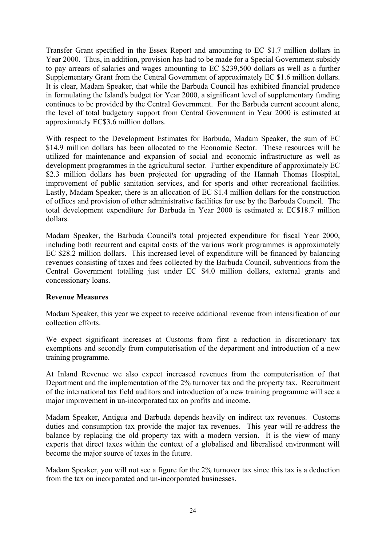Transfer Grant specified in the Essex Report and amounting to EC \$1.7 million dollars in Year 2000. Thus, in addition, provision has had to be made for a Special Government subsidy to pay arrears of salaries and wages amounting to EC \$239,500 dollars as well as a further Supplementary Grant from the Central Government of approximately EC \$1.6 million dollars. It is clear, Madam Speaker, that while the Barbuda Council has exhibited financial prudence in formulating the Island's budget for Year 2000, a significant level of supplementary funding continues to be provided by the Central Government. For the Barbuda current account alone, the level of total budgetary support from Central Government in Year 2000 is estimated at approximately EC\$3.6 million dollars.

With respect to the Development Estimates for Barbuda, Madam Speaker, the sum of EC \$14.9 million dollars has been allocated to the Economic Sector. These resources will be utilized for maintenance and expansion of social and economic infrastructure as well as development programmes in the agricultural sector. Further expenditure of approximately EC \$2.3 million dollars has been projected for upgrading of the Hannah Thomas Hospital, improvement of public sanitation services, and for sports and other recreational facilities. Lastly, Madam Speaker, there is an allocation of EC \$1.4 million dollars for the construction of offices and provision of other administrative facilities for use by the Barbuda Council. The total development expenditure for Barbuda in Year 2000 is estimated at EC\$18.7 million dollars.

Madam Speaker, the Barbuda Council's total projected expenditure for fiscal Year 2000, including both recurrent and capital costs of the various work programmes is approximately EC \$28.2 million dollars. This increased level of expenditure will be financed by balancing revenues consisting of taxes and fees collected by the Barbuda Council, subventions from the Central Government totalling just under EC \$4.0 million dollars, external grants and concessionary loans.

# **Revenue Measures**

Madam Speaker, this year we expect to receive additional revenue from intensification of our collection efforts.

We expect significant increases at Customs from first a reduction in discretionary tax exemptions and secondly from computerisation of the department and introduction of a new training programme.

At Inland Revenue we also expect increased revenues from the computerisation of that Department and the implementation of the 2% turnover tax and the property tax. Recruitment of the international tax field auditors and introduction of a new training programme will see a major improvement in un-incorporated tax on profits and income.

Madam Speaker, Antigua and Barbuda depends heavily on indirect tax revenues. Customs duties and consumption tax provide the major tax revenues. This year will re-address the balance by replacing the old property tax with a modern version. It is the view of many experts that direct taxes within the context of a globalised and liberalised environment will become the major source of taxes in the future.

Madam Speaker, you will not see a figure for the 2% turnover tax since this tax is a deduction from the tax on incorporated and un-incorporated businesses.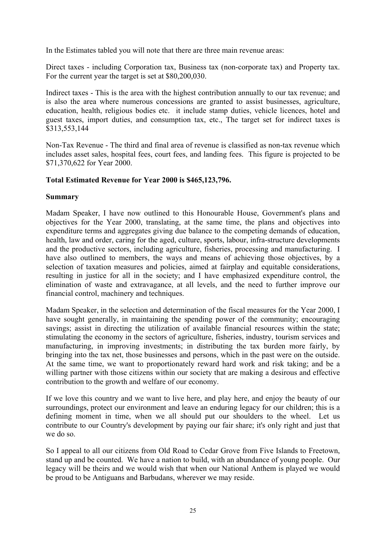In the Estimates tabled you will note that there are three main revenue areas:

Direct taxes - including Corporation tax, Business tax (non-corporate tax) and Property tax. For the current year the target is set at \$80,200,030.

Indirect taxes - This is the area with the highest contribution annually to our tax revenue; and is also the area where numerous concessions are granted to assist businesses, agriculture, education, health, religious bodies etc. it include stamp duties, vehicle licences, hotel and guest taxes, import duties, and consumption tax, etc., The target set for indirect taxes is \$313,553,144

Non-Tax Revenue - The third and final area of revenue is classified as non-tax revenue which includes asset sales, hospital fees, court fees, and landing fees. This figure is projected to be \$71,370,622 for Year 2000.

#### **Total Estimated Revenue for Year 2000 is \$465,123,796.**

#### **Summary**

Madam Speaker, I have now outlined to this Honourable House, Government's plans and objectives for the Year 2000, translating, at the same time, the plans and objectives into expenditure terms and aggregates giving due balance to the competing demands of education, health, law and order, caring for the aged, culture, sports, labour, infra-structure developments and the productive sectors, including agriculture, fisheries, processing and manufacturing. I have also outlined to members, the ways and means of achieving those objectives, by a selection of taxation measures and policies, aimed at fairplay and equitable considerations, resulting in justice for all in the society; and I have emphasized expenditure control, the elimination of waste and extravagance, at all levels, and the need to further improve our financial control, machinery and techniques.

Madam Speaker, in the selection and determination of the fiscal measures for the Year 2000, I have sought generally, in maintaining the spending power of the community; encouraging savings; assist in directing the utilization of available financial resources within the state; stimulating the economy in the sectors of agriculture, fisheries, industry, tourism services and manufacturing, in improving investments; in distributing the tax burden more fairly, by bringing into the tax net, those businesses and persons, which in the past were on the outside. At the same time, we want to proportionately reward hard work and risk taking; and be a willing partner with those citizens within our society that are making a desirous and effective contribution to the growth and welfare of our economy.

If we love this country and we want to live here, and play here, and enjoy the beauty of our surroundings, protect our environment and leave an enduring legacy for our children; this is a defining moment in time, when we all should put our shoulders to the wheel. Let us contribute to our Country's development by paying our fair share; it's only right and just that we do so.

So I appeal to all our citizens from Old Road to Cedar Grove from Five Islands to Freetown, stand up and be counted. We have a nation to build, with an abundance of young people. Our legacy will be theirs and we would wish that when our National Anthem is played we would be proud to be Antiguans and Barbudans, wherever we may reside.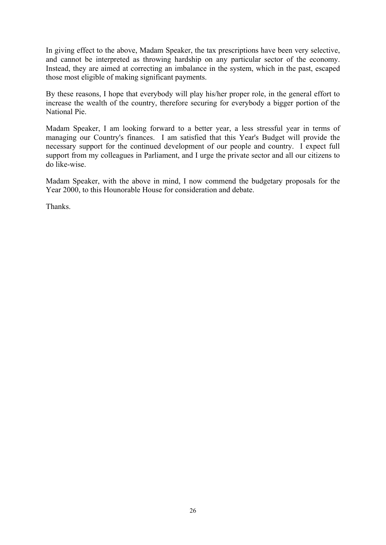In giving effect to the above, Madam Speaker, the tax prescriptions have been very selective, and cannot be interpreted as throwing hardship on any particular sector of the economy. Instead, they are aimed at correcting an imbalance in the system, which in the past, escaped those most eligible of making significant payments.

By these reasons, I hope that everybody will play his/her proper role, in the general effort to increase the wealth of the country, therefore securing for everybody a bigger portion of the National Pie.

Madam Speaker, I am looking forward to a better year, a less stressful year in terms of managing our Country's finances. I am satisfied that this Year's Budget will provide the necessary support for the continued development of our people and country. I expect full support from my colleagues in Parliament, and I urge the private sector and all our citizens to do like-wise.

Madam Speaker, with the above in mind, I now commend the budgetary proposals for the Year 2000, to this Hounorable House for consideration and debate.

Thanks.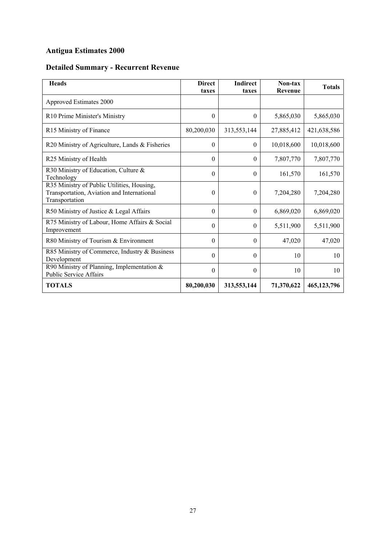# **Antigua Estimates 2000**

# **Detailed Summary - Recurrent Revenue**

| <b>Heads</b>                                                                                               | <b>Direct</b><br>taxes | <b>Indirect</b><br>taxes | Non-tax<br>Revenue | <b>Totals</b> |
|------------------------------------------------------------------------------------------------------------|------------------------|--------------------------|--------------------|---------------|
| Approved Estimates 2000                                                                                    |                        |                          |                    |               |
| R10 Prime Minister's Ministry                                                                              | $\mathbf{0}$           | $\theta$                 | 5,865,030          | 5,865,030     |
| R15 Ministry of Finance                                                                                    | 80,200,030             | 313,553,144              | 27,885,412         | 421,638,586   |
| R20 Ministry of Agriculture, Lands & Fisheries                                                             | $\mathbf{0}$           | $\theta$                 | 10,018,600         | 10,018,600    |
| R25 Ministry of Health                                                                                     | $\theta$               | $\Omega$                 | 7,807,770          | 7,807,770     |
| R30 Ministry of Education, Culture &<br>Technology                                                         | $\theta$               | $\theta$                 | 161,570            | 161,570       |
| R35 Ministry of Public Utilities, Housing,<br>Transportation, Aviation and International<br>Transportation | $\theta$               | $\Omega$                 | 7,204,280          | 7,204,280     |
| R50 Ministry of Justice & Legal Affairs                                                                    | $\theta$               | $\theta$                 | 6,869,020          | 6,869,020     |
| R75 Ministry of Labour, Home Affairs & Social<br>Improvement                                               | $\theta$               | $\theta$                 | 5,511,900          | 5,511,900     |
| R80 Ministry of Tourism & Environment                                                                      | $\theta$               | $\Omega$                 | 47,020             | 47,020        |
| R85 Ministry of Commerce, Industry & Business<br>Development                                               | $\theta$               | $\Omega$                 | 10                 | 10            |
| R90 Ministry of Planning, Implementation $\&$<br><b>Public Service Affairs</b>                             | $\theta$               | $\theta$                 | 10                 | 10            |
| <b>TOTALS</b>                                                                                              | 80,200,030             | 313,553,144              | 71,370,622         | 465,123,796   |